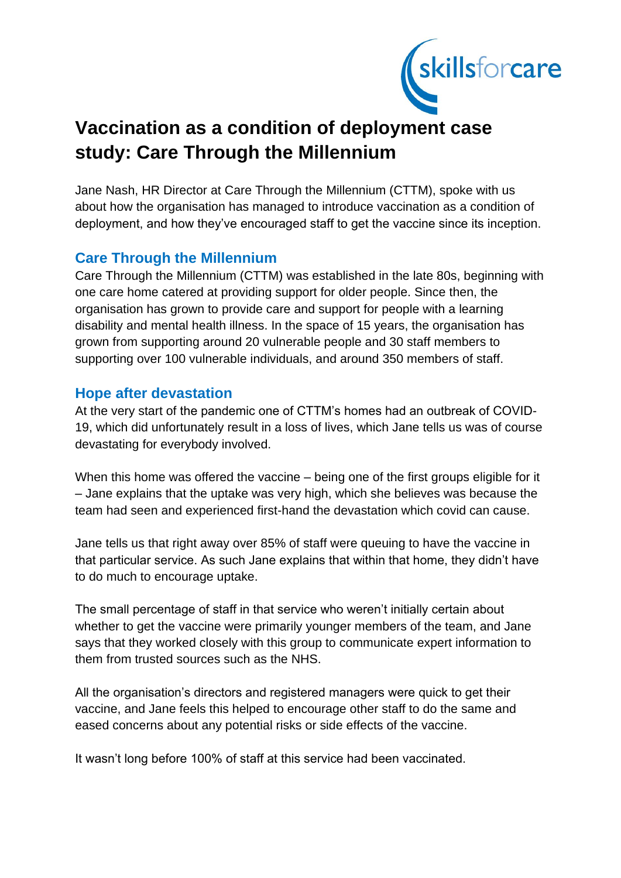

# **Vaccination as a condition of deployment case study: Care Through the Millennium**

Jane Nash, HR Director at Care Through the Millennium (CTTM), spoke with us about how the organisation has managed to introduce vaccination as a condition of deployment, and how they've encouraged staff to get the vaccine since its inception.

## **Care Through the Millennium**

Care Through the Millennium (CTTM) was established in the late 80s, beginning with one care home catered at providing support for older people. Since then, the organisation has grown to provide care and support for people with a learning disability and mental health illness. In the space of 15 years, the organisation has grown from supporting around 20 vulnerable people and 30 staff members to supporting over 100 vulnerable individuals, and around 350 members of staff.

## **Hope after devastation**

At the very start of the pandemic one of CTTM's homes had an outbreak of COVID-19, which did unfortunately result in a loss of lives, which Jane tells us was of course devastating for everybody involved.

When this home was offered the vaccine – being one of the first groups eligible for it – Jane explains that the uptake was very high, which she believes was because the team had seen and experienced first-hand the devastation which covid can cause.

Jane tells us that right away over 85% of staff were queuing to have the vaccine in that particular service. As such Jane explains that within that home, they didn't have to do much to encourage uptake.

The small percentage of staff in that service who weren't initially certain about whether to get the vaccine were primarily younger members of the team, and Jane says that they worked closely with this group to communicate expert information to them from trusted sources such as the NHS.

All the organisation's directors and registered managers were quick to get their vaccine, and Jane feels this helped to encourage other staff to do the same and eased concerns about any potential risks or side effects of the vaccine.

It wasn't long before 100% of staff at this service had been vaccinated.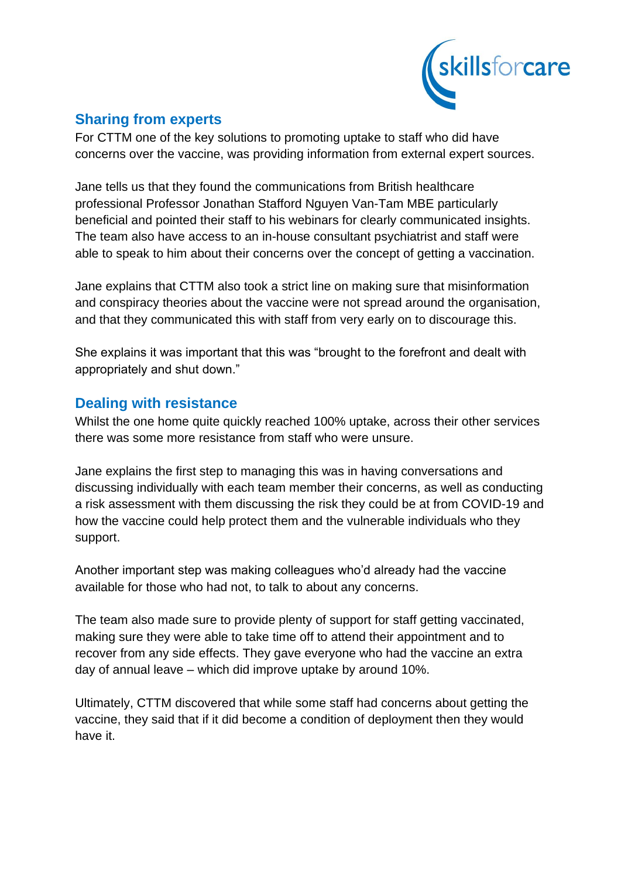

# **Sharing from experts**

For CTTM one of the key solutions to promoting uptake to staff who did have concerns over the vaccine, was providing information from external expert sources.

Jane tells us that they found the communications from British healthcare professional Professor Jonathan Stafford Nguyen Van-Tam MBE particularly beneficial and pointed their staff to his webinars for clearly communicated insights. The team also have access to an in-house consultant psychiatrist and staff were able to speak to him about their concerns over the concept of getting a vaccination.

Jane explains that CTTM also took a strict line on making sure that misinformation and conspiracy theories about the vaccine were not spread around the organisation, and that they communicated this with staff from very early on to discourage this.

She explains it was important that this was "brought to the forefront and dealt with appropriately and shut down."

## **Dealing with resistance**

Whilst the one home quite quickly reached 100% uptake, across their other services there was some more resistance from staff who were unsure.

Jane explains the first step to managing this was in having conversations and discussing individually with each team member their concerns, as well as conducting a risk assessment with them discussing the risk they could be at from COVID-19 and how the vaccine could help protect them and the vulnerable individuals who they support.

Another important step was making colleagues who'd already had the vaccine available for those who had not, to talk to about any concerns.

The team also made sure to provide plenty of support for staff getting vaccinated, making sure they were able to take time off to attend their appointment and to recover from any side effects. They gave everyone who had the vaccine an extra day of annual leave – which did improve uptake by around 10%.

Ultimately, CTTM discovered that while some staff had concerns about getting the vaccine, they said that if it did become a condition of deployment then they would have it.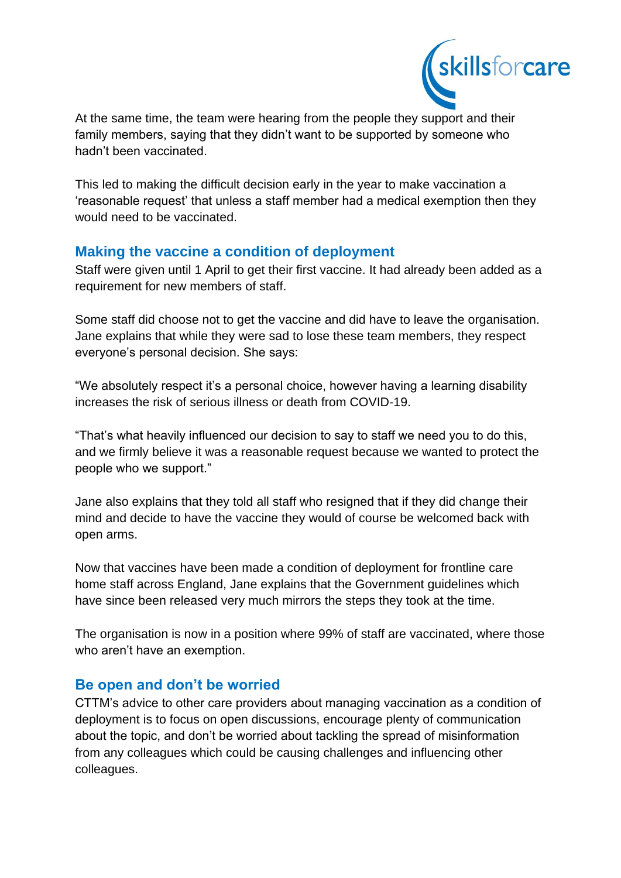

At the same time, the team were hearing from the people they support and their family members, saying that they didn't want to be supported by someone who hadn't been vaccinated.

This led to making the difficult decision early in the year to make vaccination a 'reasonable request' that unless a staff member had a medical exemption then they would need to be vaccinated.

## **Making the vaccine a condition of deployment**

Staff were given until 1 April to get their first vaccine. It had already been added as a requirement for new members of staff.

Some staff did choose not to get the vaccine and did have to leave the organisation. Jane explains that while they were sad to lose these team members, they respect everyone's personal decision. She says:

"We absolutely respect it's a personal choice, however having a learning disability increases the risk of serious illness or death from COVID-19.

"That's what heavily influenced our decision to say to staff we need you to do this, and we firmly believe it was a reasonable request because we wanted to protect the people who we support."

Jane also explains that they told all staff who resigned that if they did change their mind and decide to have the vaccine they would of course be welcomed back with open arms.

Now that vaccines have been made a condition of deployment for frontline care home staff across England, Jane explains that the Government guidelines which have since been released very much mirrors the steps they took at the time.

The organisation is now in a position where 99% of staff are vaccinated, where those who aren't have an exemption.

## **Be open and don't be worried**

CTTM's advice to other care providers about managing vaccination as a condition of deployment is to focus on open discussions, encourage plenty of communication about the topic, and don't be worried about tackling the spread of misinformation from any colleagues which could be causing challenges and influencing other colleagues.